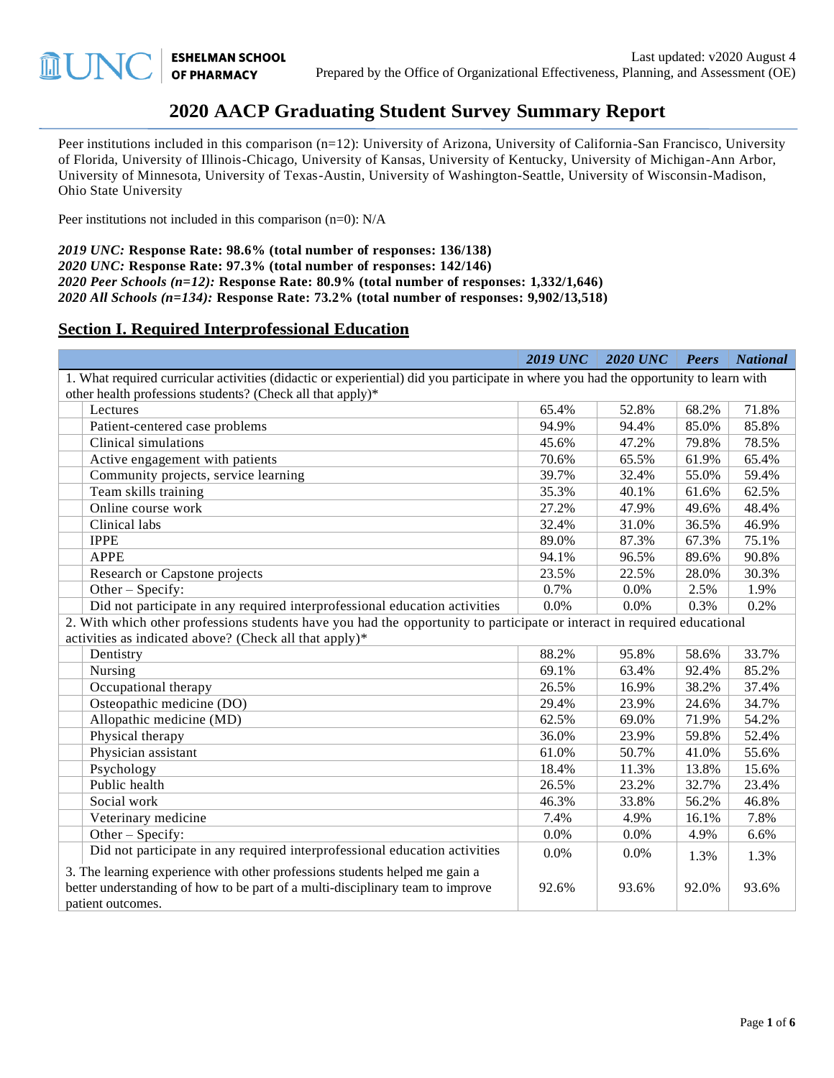$\widehat{\mathbb{H}}$ 

# **2020 AACP Graduating Student Survey Summary Report**

Peer institutions included in this comparison (n=12): University of Arizona, University of California-San Francisco, University of Florida, University of Illinois-Chicago, University of Kansas, University of Kentucky, University of Michigan-Ann Arbor, University of Minnesota, University of Texas-Austin, University of Washington-Seattle, University of Wisconsin-Madison, Ohio State University

Peer institutions not included in this comparison (n=0): N/A

*2019 UNC:* **Response Rate: 98.6% (total number of responses: 136/138)** *2020 UNC:* **Response Rate: 97.3% (total number of responses: 142/146)** *2020 Peer Schools (n=12):* **Response Rate: 80.9% (total number of responses: 1,332/1,646)** *2020 All Schools (n=134):* **Response Rate: 73.2% (total number of responses: 9,902/13,518)**

#### **Section I. Required Interprofessional Education**

|                                                                                                                                                                                    | <b>2019 UNC</b> | <b>2020 UNC</b> | Peers | <b>National</b> |  |  |
|------------------------------------------------------------------------------------------------------------------------------------------------------------------------------------|-----------------|-----------------|-------|-----------------|--|--|
| 1. What required curricular activities (didactic or experiential) did you participate in where you had the opportunity to learn with                                               |                 |                 |       |                 |  |  |
| other health professions students? (Check all that apply)*                                                                                                                         |                 |                 |       |                 |  |  |
| Lectures                                                                                                                                                                           | 65.4%           | 52.8%           | 68.2% | 71.8%           |  |  |
| Patient-centered case problems                                                                                                                                                     | 94.9%           | 94.4%           | 85.0% | 85.8%           |  |  |
| Clinical simulations                                                                                                                                                               | 45.6%           | 47.2%           | 79.8% | 78.5%           |  |  |
| Active engagement with patients                                                                                                                                                    | 70.6%           | 65.5%           | 61.9% | 65.4%           |  |  |
| Community projects, service learning                                                                                                                                               | 39.7%           | 32.4%           | 55.0% | 59.4%           |  |  |
| Team skills training                                                                                                                                                               | 35.3%           | 40.1%           | 61.6% | 62.5%           |  |  |
| Online course work                                                                                                                                                                 | 27.2%           | 47.9%           | 49.6% | 48.4%           |  |  |
| Clinical labs                                                                                                                                                                      | 32.4%           | 31.0%           | 36.5% | 46.9%           |  |  |
| <b>IPPE</b>                                                                                                                                                                        | 89.0%           | 87.3%           | 67.3% | 75.1%           |  |  |
| <b>APPE</b>                                                                                                                                                                        | 94.1%           | 96.5%           | 89.6% | 90.8%           |  |  |
| Research or Capstone projects                                                                                                                                                      | 23.5%           | 22.5%           | 28.0% | 30.3%           |  |  |
| Other - Specify:                                                                                                                                                                   | 0.7%            | 0.0%            | 2.5%  | 1.9%            |  |  |
| Did not participate in any required interprofessional education activities                                                                                                         | 0.0%            | 0.0%            | 0.3%  | 0.2%            |  |  |
| 2. With which other professions students have you had the opportunity to participate or interact in required educational                                                           |                 |                 |       |                 |  |  |
| activities as indicated above? (Check all that apply)*                                                                                                                             |                 |                 |       |                 |  |  |
| Dentistry                                                                                                                                                                          | 88.2%           | 95.8%           | 58.6% | 33.7%           |  |  |
| Nursing                                                                                                                                                                            | 69.1%           | 63.4%           | 92.4% | 85.2%           |  |  |
| Occupational therapy                                                                                                                                                               | 26.5%           | 16.9%           | 38.2% | 37.4%           |  |  |
| Osteopathic medicine (DO)                                                                                                                                                          | 29.4%           | 23.9%           | 24.6% | 34.7%           |  |  |
| Allopathic medicine (MD)                                                                                                                                                           | 62.5%           | 69.0%           | 71.9% | 54.2%           |  |  |
| Physical therapy                                                                                                                                                                   | 36.0%           | 23.9%           | 59.8% | 52.4%           |  |  |
| Physician assistant                                                                                                                                                                | 61.0%           | 50.7%           | 41.0% | 55.6%           |  |  |
| Psychology                                                                                                                                                                         | 18.4%           | 11.3%           | 13.8% | 15.6%           |  |  |
| Public health                                                                                                                                                                      | 26.5%           | 23.2%           | 32.7% | 23.4%           |  |  |
| Social work                                                                                                                                                                        | 46.3%           | 33.8%           | 56.2% | 46.8%           |  |  |
| Veterinary medicine                                                                                                                                                                | 7.4%            | 4.9%            | 16.1% | 7.8%            |  |  |
| Other $-$ Specify:                                                                                                                                                                 | 0.0%            | 0.0%            | 4.9%  | 6.6%            |  |  |
| Did not participate in any required interprofessional education activities                                                                                                         | 0.0%            | 0.0%            | 1.3%  | 1.3%            |  |  |
| 3. The learning experience with other professions students helped me gain a<br>better understanding of how to be part of a multi-disciplinary team to improve<br>patient outcomes. | 92.6%           | 93.6%           | 92.0% | 93.6%           |  |  |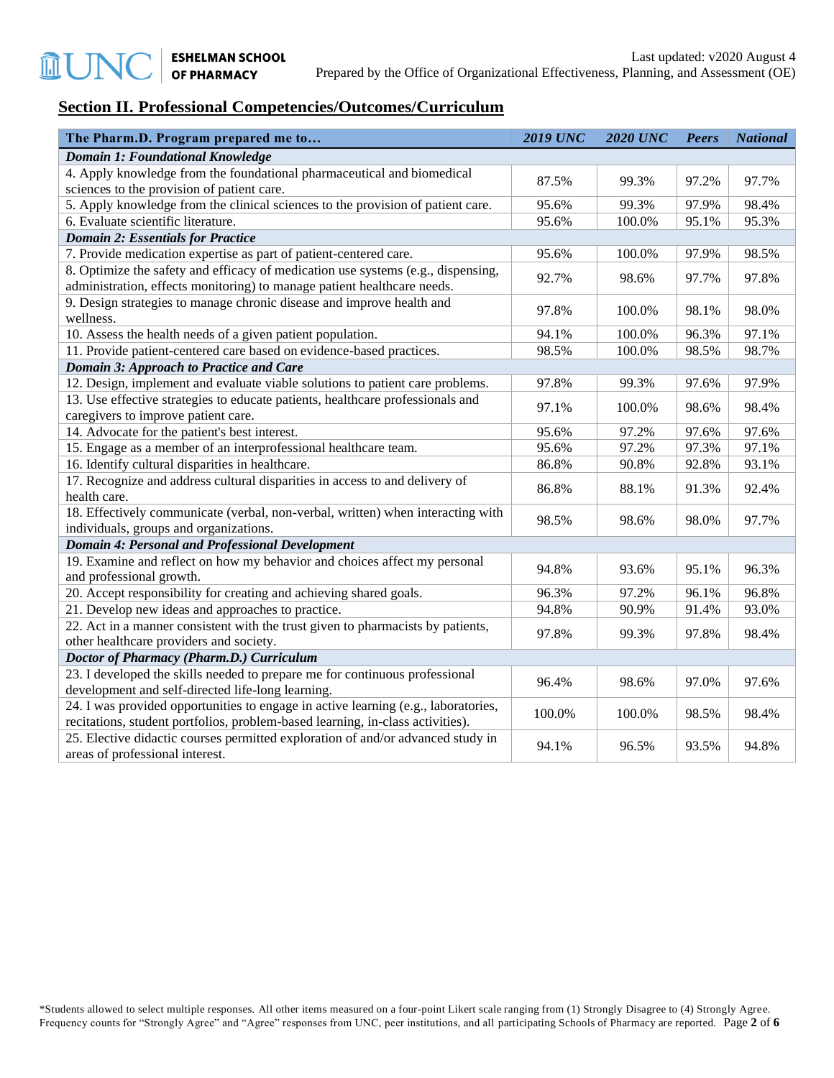# **Section II. Professional Competencies/Outcomes/Curriculum**

| The Pharm.D. Program prepared me to                                                                                              | <b>2019 UNC</b> | <b>2020 UNC</b> | <b>Peers</b> | <b>National</b> |
|----------------------------------------------------------------------------------------------------------------------------------|-----------------|-----------------|--------------|-----------------|
| Domain 1: Foundational Knowledge                                                                                                 |                 |                 |              |                 |
| 4. Apply knowledge from the foundational pharmaceutical and biomedical<br>sciences to the provision of patient care.             | 87.5%           | 99.3%           | 97.2%        | 97.7%           |
| 5. Apply knowledge from the clinical sciences to the provision of patient care.                                                  | 95.6%           | 99.3%           | 97.9%        | 98.4%           |
| 6. Evaluate scientific literature.                                                                                               | 95.6%           | 100.0%          | 95.1%        | 95.3%           |
| <b>Domain 2: Essentials for Practice</b>                                                                                         |                 |                 |              |                 |
| 7. Provide medication expertise as part of patient-centered care.                                                                | 95.6%           | 100.0%          | 97.9%        | 98.5%           |
| 8. Optimize the safety and efficacy of medication use systems (e.g., dispensing,                                                 |                 |                 |              |                 |
| administration, effects monitoring) to manage patient healthcare needs.                                                          | 92.7%           | 98.6%           | 97.7%        | 97.8%           |
| 9. Design strategies to manage chronic disease and improve health and<br>wellness.                                               | 97.8%           | 100.0%          | 98.1%        | 98.0%           |
| 10. Assess the health needs of a given patient population.                                                                       | 94.1%           | 100.0%          | 96.3%        | 97.1%           |
| 11. Provide patient-centered care based on evidence-based practices.                                                             | 98.5%           | 100.0%          | 98.5%        | 98.7%           |
| Domain 3: Approach to Practice and Care                                                                                          |                 |                 |              |                 |
| 12. Design, implement and evaluate viable solutions to patient care problems.                                                    | 97.8%           | 99.3%           | 97.6%        | 97.9%           |
| 13. Use effective strategies to educate patients, healthcare professionals and                                                   | 97.1%           | 100.0%          | 98.6%        | 98.4%           |
| caregivers to improve patient care.                                                                                              |                 |                 |              |                 |
| 14. Advocate for the patient's best interest.                                                                                    | 95.6%           | 97.2%           | 97.6%        | 97.6%           |
| 15. Engage as a member of an interprofessional healthcare team.                                                                  | 95.6%           | 97.2%           | 97.3%        | 97.1%           |
| 16. Identify cultural disparities in healthcare.                                                                                 | 86.8%           | 90.8%           | 92.8%        | 93.1%           |
| 17. Recognize and address cultural disparities in access to and delivery of<br>health care.                                      | 86.8%           | 88.1%           | 91.3%        | 92.4%           |
| 18. Effectively communicate (verbal, non-verbal, written) when interacting with<br>individuals, groups and organizations.        | 98.5%           | 98.6%           | 98.0%        | 97.7%           |
| <b>Domain 4: Personal and Professional Development</b>                                                                           |                 |                 |              |                 |
| 19. Examine and reflect on how my behavior and choices affect my personal                                                        |                 |                 |              |                 |
| and professional growth.                                                                                                         | 94.8%           | 93.6%           | 95.1%        | 96.3%           |
| 20. Accept responsibility for creating and achieving shared goals.                                                               | 96.3%           | 97.2%           | 96.1%        | 96.8%           |
| 21. Develop new ideas and approaches to practice.                                                                                | 94.8%           | 90.9%           | 91.4%        | 93.0%           |
| 22. Act in a manner consistent with the trust given to pharmacists by patients,                                                  | 97.8%           | 99.3%           | 97.8%        | 98.4%           |
| other healthcare providers and society.                                                                                          |                 |                 |              |                 |
| Doctor of Pharmacy (Pharm.D.) Curriculum                                                                                         |                 |                 |              |                 |
| 23. I developed the skills needed to prepare me for continuous professional<br>development and self-directed life-long learning. | 96.4%           | 98.6%           | 97.0%        | 97.6%           |
| 24. I was provided opportunities to engage in active learning (e.g., laboratories,                                               |                 |                 |              |                 |
| recitations, student portfolios, problem-based learning, in-class activities).                                                   | 100.0%          | 100.0%          | 98.5%        | 98.4%           |
| 25. Elective didactic courses permitted exploration of and/or advanced study in<br>areas of professional interest.               | 94.1%           | 96.5%           | 93.5%        | 94.8%           |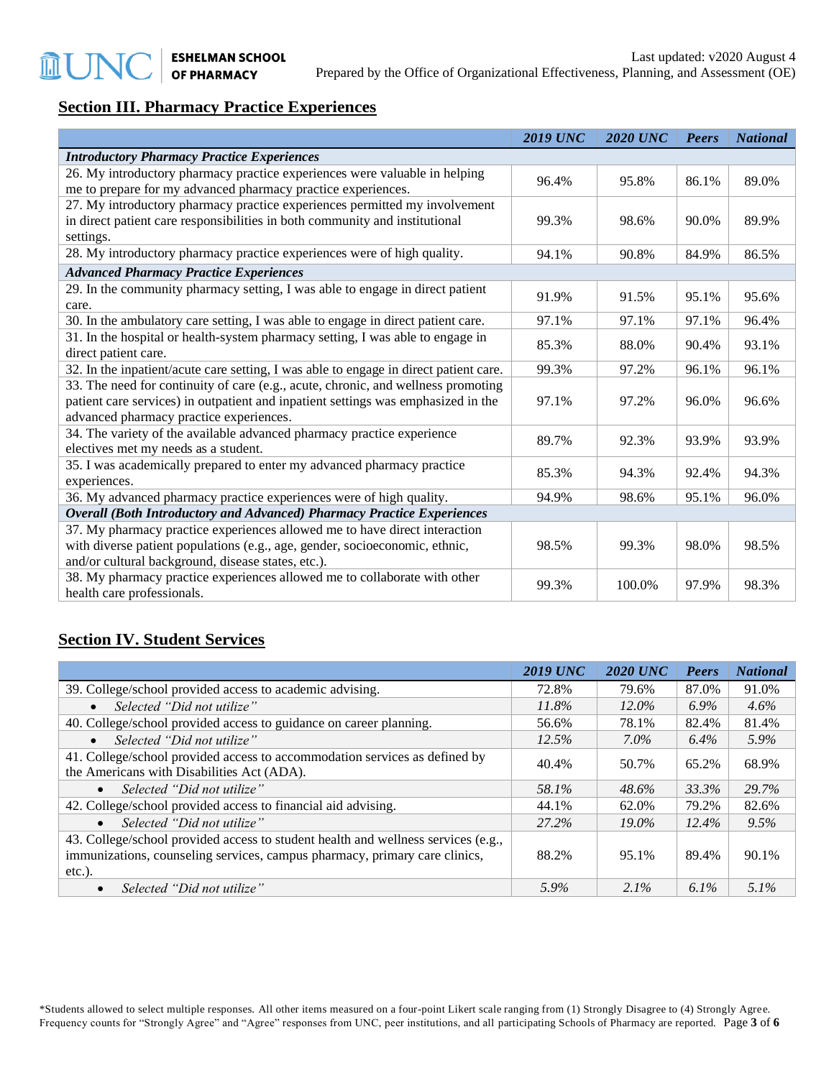# **Section III. Pharmacy Practice Experiences**

|                                                                                       | <b>2019 UNC</b> | <b>2020 UNC</b> | Peers | <b>National</b> |
|---------------------------------------------------------------------------------------|-----------------|-----------------|-------|-----------------|
| <b>Introductory Pharmacy Practice Experiences</b>                                     |                 |                 |       |                 |
| 26. My introductory pharmacy practice experiences were valuable in helping            | 96.4%           | 95.8%           | 86.1% | 89.0%           |
| me to prepare for my advanced pharmacy practice experiences.                          |                 |                 |       |                 |
| 27. My introductory pharmacy practice experiences permitted my involvement            |                 |                 |       |                 |
| in direct patient care responsibilities in both community and institutional           | 99.3%           | 98.6%           | 90.0% | 89.9%           |
| settings.                                                                             |                 |                 |       |                 |
| 28. My introductory pharmacy practice experiences were of high quality.               | 94.1%           | 90.8%           | 84.9% | 86.5%           |
| <b>Advanced Pharmacy Practice Experiences</b>                                         |                 |                 |       |                 |
| 29. In the community pharmacy setting, I was able to engage in direct patient         | 91.9%           | 91.5%           | 95.1% | 95.6%           |
| care.                                                                                 |                 |                 |       |                 |
| 30. In the ambulatory care setting, I was able to engage in direct patient care.      | 97.1%           | 97.1%           | 97.1% | 96.4%           |
| 31. In the hospital or health-system pharmacy setting, I was able to engage in        | 85.3%           | 88.0%           | 90.4% | 93.1%           |
| direct patient care.                                                                  |                 |                 |       |                 |
| 32. In the inpatient/acute care setting, I was able to engage in direct patient care. | 99.3%           | 97.2%           | 96.1% | 96.1%           |
| 33. The need for continuity of care (e.g., acute, chronic, and wellness promoting     |                 |                 |       |                 |
| patient care services) in outpatient and inpatient settings was emphasized in the     | 97.1%           | 97.2%           | 96.0% | 96.6%           |
| advanced pharmacy practice experiences.                                               |                 |                 |       |                 |
| 34. The variety of the available advanced pharmacy practice experience                | 89.7%           | 92.3%           | 93.9% | 93.9%           |
| electives met my needs as a student.                                                  |                 |                 |       |                 |
| 35. I was academically prepared to enter my advanced pharmacy practice                | 85.3%           | 94.3%           | 92.4% | 94.3%           |
| experiences.                                                                          |                 |                 |       |                 |
| 36. My advanced pharmacy practice experiences were of high quality.                   | 94.9%           | 98.6%           | 95.1% | 96.0%           |
| <b>Overall (Both Introductory and Advanced) Pharmacy Practice Experiences</b>         |                 |                 |       |                 |
| 37. My pharmacy practice experiences allowed me to have direct interaction            |                 |                 |       |                 |
| with diverse patient populations (e.g., age, gender, socioeconomic, ethnic,           | 98.5%           | 99.3%           | 98.0% | 98.5%           |
| and/or cultural background, disease states, etc.).                                    |                 |                 |       |                 |
| 38. My pharmacy practice experiences allowed me to collaborate with other             | 99.3%           | 100.0%          | 97.9% | 98.3%           |
| health care professionals.                                                            |                 |                 |       |                 |

### **Section IV. Student Services**

|                                                                                                                                                                              | <b>2019 UNC</b> | <b>2020 UNC</b> | <b>Peers</b> | <b>National</b> |
|------------------------------------------------------------------------------------------------------------------------------------------------------------------------------|-----------------|-----------------|--------------|-----------------|
| 39. College/school provided access to academic advising.                                                                                                                     | 72.8%           | 79.6%           | 87.0%        | 91.0%           |
| Selected "Did not utilize"<br>$\bullet$                                                                                                                                      | 11.8%           | $12.0\%$        | $6.9\%$      | $4.6\%$         |
| 40. College/school provided access to guidance on career planning.                                                                                                           | 56.6%           | 78.1%           | 82.4%        | 81.4%           |
| Selected "Did not utilize"<br>$\bullet$                                                                                                                                      | 12.5%           | $7.0\%$         | 6.4%         | 5.9%            |
| 41. College/school provided access to accommodation services as defined by<br>the Americans with Disabilities Act (ADA).                                                     | 40.4%           | 50.7%           | 65.2%        | 68.9%           |
| Selected "Did not utilize"<br>$\bullet$                                                                                                                                      | 58.1%           | 48.6%           | 33.3%        | 29.7%           |
| 42. College/school provided access to financial aid advising.                                                                                                                | 44.1%           | 62.0%           | 79.2%        | 82.6%           |
| Selected "Did not utilize"<br>$\bullet$                                                                                                                                      | 27.2%           | $19.0\%$        | 12.4%        | 9.5%            |
| 43. College/school provided access to student health and wellness services (e.g.,<br>immunizations, counseling services, campus pharmacy, primary care clinics,<br>$etc.$ ). | 88.2%           | 95.1%           | 89.4%        | 90.1%           |
| Selected "Did not utilize"                                                                                                                                                   | 5.9%            | $2.1\%$         | $6.1\%$      | $5.1\%$         |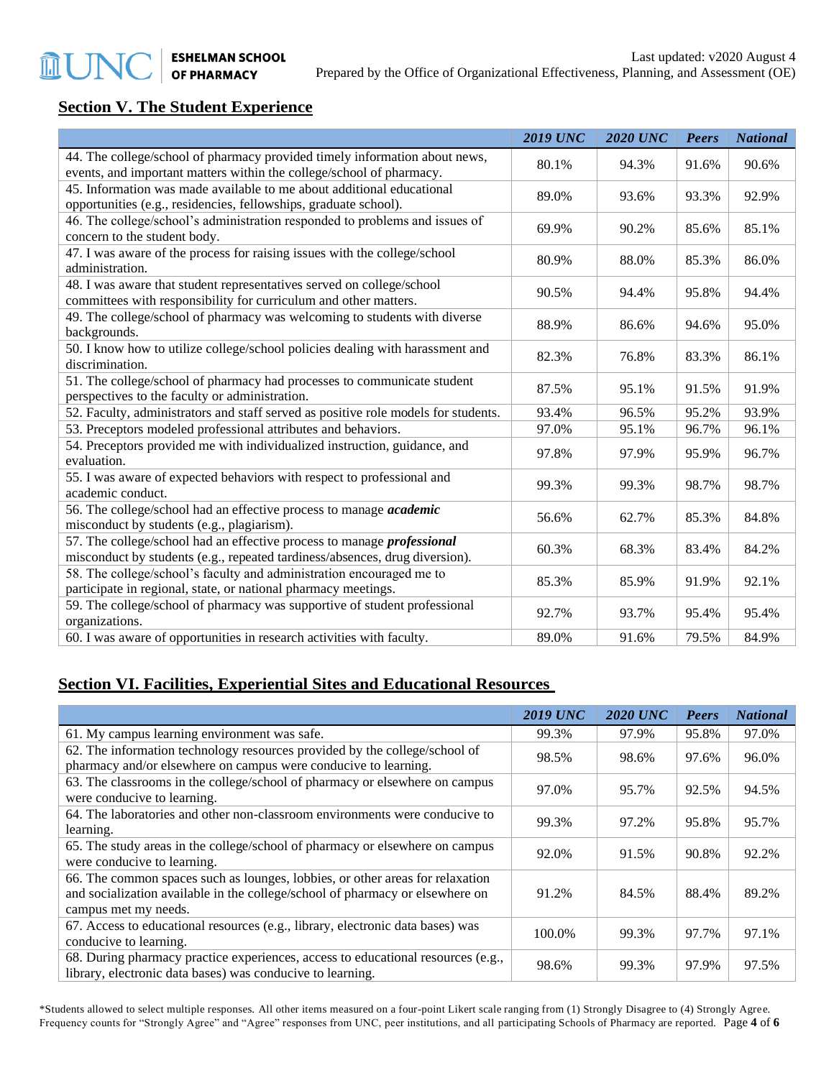# **Section V. The Student Experience**

|                                                                                    | <b>2019 UNC</b> | <b>2020 UNC</b> | <b>Peers</b> | <b>National</b> |
|------------------------------------------------------------------------------------|-----------------|-----------------|--------------|-----------------|
| 44. The college/school of pharmacy provided timely information about news,         | 80.1%           | 94.3%           | 91.6%        | 90.6%           |
| events, and important matters within the college/school of pharmacy.               |                 |                 |              |                 |
| 45. Information was made available to me about additional educational              | 89.0%           | 93.6%           | 93.3%        | 92.9%           |
| opportunities (e.g., residencies, fellowships, graduate school).                   |                 |                 |              |                 |
| 46. The college/school's administration responded to problems and issues of        | 69.9%           | 90.2%           | 85.6%        | 85.1%           |
| concern to the student body.                                                       |                 |                 |              |                 |
| 47. I was aware of the process for raising issues with the college/school          | 80.9%           | 88.0%           | 85.3%        | 86.0%           |
| administration.                                                                    |                 |                 |              |                 |
| 48. I was aware that student representatives served on college/school              | 90.5%           | 94.4%           | 95.8%        | 94.4%           |
| committees with responsibility for curriculum and other matters.                   |                 |                 |              |                 |
| 49. The college/school of pharmacy was welcoming to students with diverse          | 88.9%           | 86.6%           | 94.6%        | 95.0%           |
| backgrounds.                                                                       |                 |                 |              |                 |
| 50. I know how to utilize college/school policies dealing with harassment and      | 82.3%           | 76.8%           | 83.3%        | 86.1%           |
| discrimination.                                                                    |                 |                 |              |                 |
| 51. The college/school of pharmacy had processes to communicate student            | 87.5%           | 95.1%           | 91.5%        | 91.9%           |
| perspectives to the faculty or administration.                                     |                 |                 |              |                 |
| 52. Faculty, administrators and staff served as positive role models for students. | 93.4%           | 96.5%           | 95.2%        | 93.9%           |
| 53. Preceptors modeled professional attributes and behaviors.                      | 97.0%           | 95.1%           | 96.7%        | 96.1%           |
| 54. Preceptors provided me with individualized instruction, guidance, and          | 97.8%           | 97.9%           | 95.9%        | 96.7%           |
| evaluation.                                                                        |                 |                 |              |                 |
| 55. I was aware of expected behaviors with respect to professional and             | 99.3%           | 99.3%           | 98.7%        | 98.7%           |
| academic conduct.                                                                  |                 |                 |              |                 |
| 56. The college/school had an effective process to manage <i>academic</i>          | 56.6%           | 62.7%           | 85.3%        | 84.8%           |
| misconduct by students (e.g., plagiarism).                                         |                 |                 |              |                 |
| 57. The college/school had an effective process to manage <i>professional</i>      | 60.3%           | 68.3%           | 83.4%        | 84.2%           |
| misconduct by students (e.g., repeated tardiness/absences, drug diversion).        |                 |                 |              |                 |
| 58. The college/school's faculty and administration encouraged me to               | 85.3%           | 85.9%           | 91.9%        | 92.1%           |
| participate in regional, state, or national pharmacy meetings.                     |                 |                 |              |                 |
| 59. The college/school of pharmacy was supportive of student professional          | 92.7%           | 93.7%           | 95.4%        | 95.4%           |
| organizations.                                                                     |                 |                 |              |                 |
| 60. I was aware of opportunities in research activities with faculty.              | 89.0%           | 91.6%           | 79.5%        | 84.9%           |

# **Section VI. Facilities, Experiential Sites and Educational Resources**

|                                                                                                                                                                                        | <b>2019 UNC</b> | <b>2020 UNC</b> | Peers | <b>National</b> |
|----------------------------------------------------------------------------------------------------------------------------------------------------------------------------------------|-----------------|-----------------|-------|-----------------|
| 61. My campus learning environment was safe.                                                                                                                                           | 99.3%           | 97.9%           | 95.8% | 97.0%           |
| 62. The information technology resources provided by the college/school of<br>pharmacy and/or elsewhere on campus were conducive to learning.                                          | 98.5%           | 98.6%           | 97.6% | 96.0%           |
| 63. The classrooms in the college/school of pharmacy or elsewhere on campus<br>were conducive to learning.                                                                             | 97.0%           | 95.7%           | 92.5% | 94.5%           |
| 64. The laboratories and other non-classroom environments were conducive to<br>learning.                                                                                               | 99.3%           | 97.2%           | 95.8% | 95.7%           |
| 65. The study areas in the college/school of pharmacy or elsewhere on campus<br>were conducive to learning.                                                                            | 92.0%           | 91.5%           | 90.8% | 92.2%           |
| 66. The common spaces such as lounges, lobbies, or other areas for relaxation<br>and socialization available in the college/school of pharmacy or elsewhere on<br>campus met my needs. | 91.2%           | 84.5%           | 88.4% | 89.2%           |
| 67. Access to educational resources (e.g., library, electronic data bases) was<br>conducive to learning.                                                                               | 100.0%          | 99.3%           | 97.7% | 97.1%           |
| 68. During pharmacy practice experiences, access to educational resources (e.g.,<br>library, electronic data bases) was conducive to learning.                                         | 98.6%           | 99.3%           | 97.9% | 97.5%           |

\*Students allowed to select multiple responses. All other items measured on a four-point Likert scale ranging from (1) Strongly Disagree to (4) Strongly Agree. Frequency counts for "Strongly Agree" and "Agree" responses from UNC, peer institutions, and all participating Schools of Pharmacy are reported. Page **4** of **6**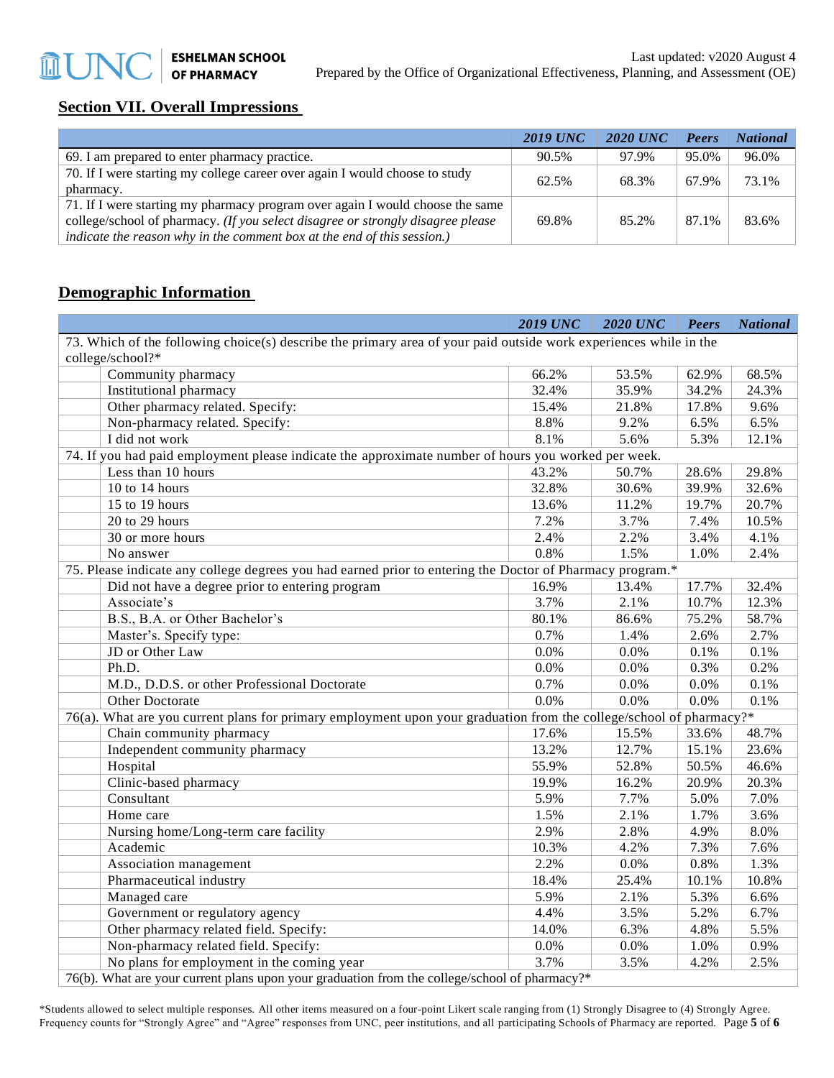# **Section VII. Overall Impressions**

|                                                                                                                                                                                                                                             | <b>2019 UNC</b> | <b>2020 UNC</b> | Peers | <b>National</b> |
|---------------------------------------------------------------------------------------------------------------------------------------------------------------------------------------------------------------------------------------------|-----------------|-----------------|-------|-----------------|
| 69. I am prepared to enter pharmacy practice.                                                                                                                                                                                               | 90.5%           | 97.9%           | 95.0% | 96.0%           |
| 70. If I were starting my college career over again I would choose to study                                                                                                                                                                 | 62.5%           | 68.3%           | 67.9% | 73.1%           |
| pharmacy.                                                                                                                                                                                                                                   |                 |                 |       |                 |
| 71. If I were starting my pharmacy program over again I would choose the same<br>college/school of pharmacy. (If you select disagree or strongly disagree please<br>indicate the reason why in the comment box at the end of this session.) | 69.8%           | 85.2%           | 87.1% | 83.6%           |

# **Demographic Information**

|                                                                                                                     | <b>2019 UNC</b> | <b>2020 UNC</b> | <b>Peers</b> | <b>National</b> |
|---------------------------------------------------------------------------------------------------------------------|-----------------|-----------------|--------------|-----------------|
| 73. Which of the following choice(s) describe the primary area of your paid outside work experiences while in the   |                 |                 |              |                 |
| college/school?*                                                                                                    |                 |                 |              |                 |
| Community pharmacy                                                                                                  | 66.2%           | 53.5%           | 62.9%        | 68.5%           |
| Institutional pharmacy                                                                                              | 32.4%           | 35.9%           | 34.2%        | 24.3%           |
| Other pharmacy related. Specify:                                                                                    | 15.4%           | 21.8%           | 17.8%        | 9.6%            |
| Non-pharmacy related. Specify:                                                                                      | 8.8%            | 9.2%            | 6.5%         | 6.5%            |
| I did not work                                                                                                      | 8.1%            | 5.6%            | 5.3%         | 12.1%           |
| 74. If you had paid employment please indicate the approximate number of hours you worked per week.                 |                 |                 |              |                 |
| Less than 10 hours                                                                                                  | 43.2%           | 50.7%           | 28.6%        | 29.8%           |
| 10 to 14 hours                                                                                                      | 32.8%           | 30.6%           | 39.9%        | 32.6%           |
| 15 to 19 hours                                                                                                      | 13.6%           | 11.2%           | 19.7%        | 20.7%           |
| 20 to 29 hours                                                                                                      | 7.2%            | 3.7%            | 7.4%         | 10.5%           |
| 30 or more hours                                                                                                    | 2.4%            | 2.2%            | 3.4%         | 4.1%            |
| No answer                                                                                                           | 0.8%            | 1.5%            | 1.0%         | 2.4%            |
| 75. Please indicate any college degrees you had earned prior to entering the Doctor of Pharmacy program.*           |                 |                 |              |                 |
| Did not have a degree prior to entering program                                                                     | 16.9%           | 13.4%           | 17.7%        | 32.4%           |
| Associate's                                                                                                         | 3.7%            | 2.1%            | 10.7%        | 12.3%           |
| B.S., B.A. or Other Bachelor's                                                                                      | 80.1%           | 86.6%           | 75.2%        | 58.7%           |
| Master's. Specify type:                                                                                             | 0.7%            | 1.4%            | 2.6%         | 2.7%            |
| JD or Other Law                                                                                                     | 0.0%            | 0.0%            | 0.1%         | 0.1%            |
| Ph.D.                                                                                                               | 0.0%            | 0.0%            | 0.3%         | 0.2%            |
| M.D., D.D.S. or other Professional Doctorate                                                                        | 0.7%            | 0.0%            | 0.0%         | 0.1%            |
| Other Doctorate                                                                                                     | 0.0%            | 0.0%            | 0.0%         | 0.1%            |
| 76(a). What are you current plans for primary employment upon your graduation from the college/school of pharmacy?* |                 |                 |              |                 |
| Chain community pharmacy                                                                                            | 17.6%           | 15.5%           | 33.6%        | 48.7%           |
| Independent community pharmacy                                                                                      | 13.2%           | 12.7%           | 15.1%        | 23.6%           |
| Hospital                                                                                                            | 55.9%           | 52.8%           | 50.5%        | 46.6%           |
| Clinic-based pharmacy                                                                                               | 19.9%           | 16.2%           | 20.9%        | 20.3%           |
| Consultant                                                                                                          | 5.9%            | 7.7%            | 5.0%         | 7.0%            |
| Home care                                                                                                           | 1.5%            | 2.1%            | 1.7%         | 3.6%            |
| Nursing home/Long-term care facility                                                                                | 2.9%            | 2.8%            | 4.9%         | 8.0%            |
| Academic                                                                                                            | 10.3%           | 4.2%            | 7.3%         | 7.6%            |
| Association management                                                                                              | 2.2%            | 0.0%            | 0.8%         | 1.3%            |
| Pharmaceutical industry                                                                                             | 18.4%           | 25.4%           | 10.1%        | 10.8%           |
| Managed care                                                                                                        | 5.9%            | 2.1%            | 5.3%         | 6.6%            |
| Government or regulatory agency                                                                                     | 4.4%            | 3.5%            | 5.2%         | 6.7%            |
| Other pharmacy related field. Specify:                                                                              | 14.0%           | 6.3%            | 4.8%         | 5.5%            |
| Non-pharmacy related field. Specify:                                                                                | 0.0%            | 0.0%            | 1.0%         | 0.9%            |
| No plans for employment in the coming year                                                                          | 3.7%            | 3.5%            | 4.2%         | 2.5%            |
| 76(b). What are your current plans upon your graduation from the college/school of pharmacy?*                       |                 |                 |              |                 |

\*Students allowed to select multiple responses. All other items measured on a four-point Likert scale ranging from (1) Strongly Disagree to (4) Strongly Agree.

Frequency counts for "Strongly Agree" and "Agree" responses from UNC, peer institutions, and all participating Schools of Pharmacy are reported. Page **5** of **6**